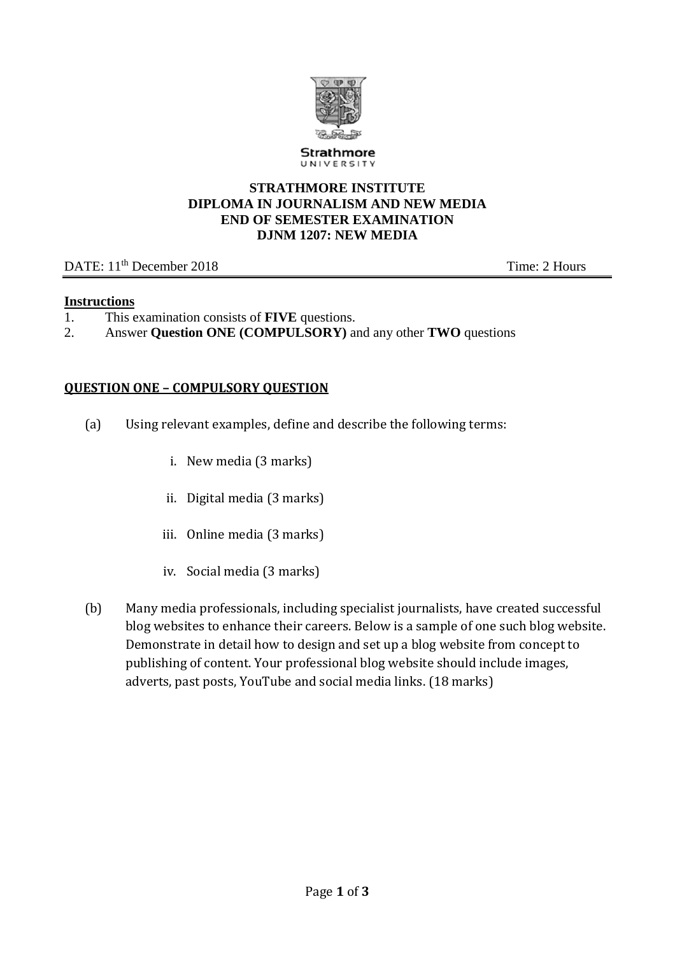

Strathmore UNIVERSITY

### **STRATHMORE INSTITUTE DIPLOMA IN JOURNALISM AND NEW MEDIA END OF SEMESTER EXAMINATION DJNM 1207: NEW MEDIA**

## DATE: 11<sup>th</sup> December 2018 Time: 2 Hours

## **Instructions**

- 1. This examination consists of **FIVE** questions.
- 2. Answer **Question ONE (COMPULSORY)** and any other **TWO** questions

## **QUESTION ONE – COMPULSORY QUESTION**

- (a) Using relevant examples, define and describe the following terms:
	- i. New media (3 marks)
	- ii. Digital media (3 marks)
	- iii. Online media (3 marks)
	- iv. Social media (3 marks)
- (b) Many media professionals, including specialist journalists, have created successful blog websites to enhance their careers. Below is a sample of one such blog website. Demonstrate in detail how to design and set up a blog website from concept to publishing of content. Your professional blog website should include images, adverts, past posts, YouTube and social media links. (18 marks)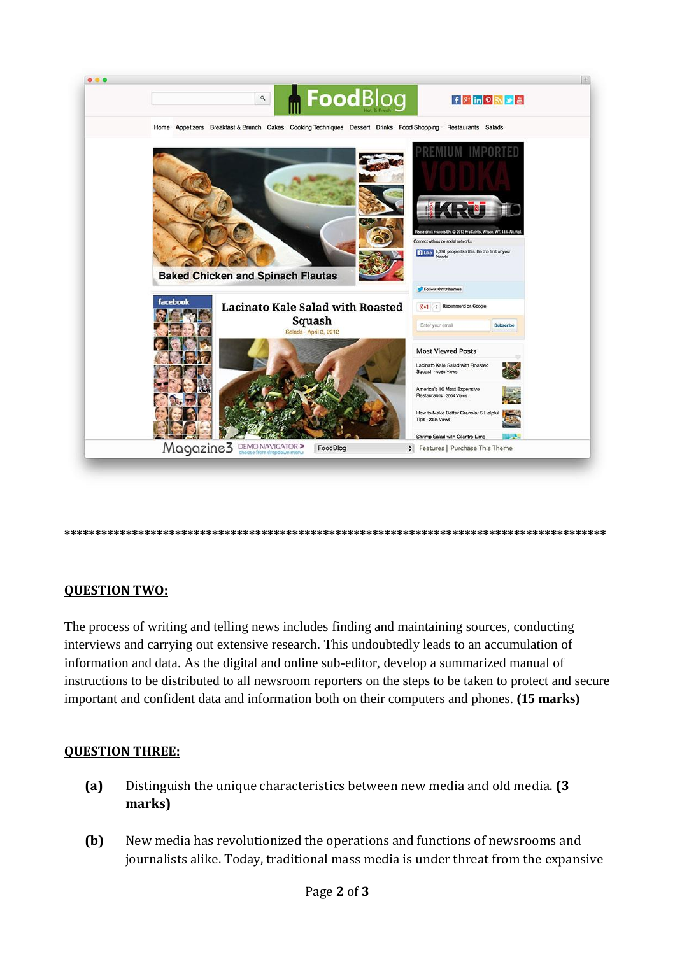

#### **\*\*\*\*\*\*\*\*\*\*\*\*\*\*\*\*\*\*\*\*\*\*\*\*\*\*\*\*\*\*\*\*\*\*\*\*\*\*\*\*\*\*\*\*\*\*\*\*\*\*\*\*\*\*\*\*\*\*\*\*\*\*\*\*\*\*\*\*\*\*\*\*\*\*\*\*\*\*\*\*\*\*\*\*\*\*\*\***

## **QUESTION TWO:**

The process of writing and telling news includes finding and maintaining sources, conducting interviews and carrying out extensive research. This undoubtedly leads to an accumulation of information and data. As the digital and online sub-editor, develop a summarized manual of instructions to be distributed to all newsroom reporters on the steps to be taken to protect and secure important and confident data and information both on their computers and phones. **(15 marks)**

## **QUESTION THREE:**

- **(a)** Distinguish the unique characteristics between new media and old media. **(3 marks)**
- **(b)** New media has revolutionized the operations and functions of newsrooms and journalists alike. Today, traditional mass media is under threat from the expansive